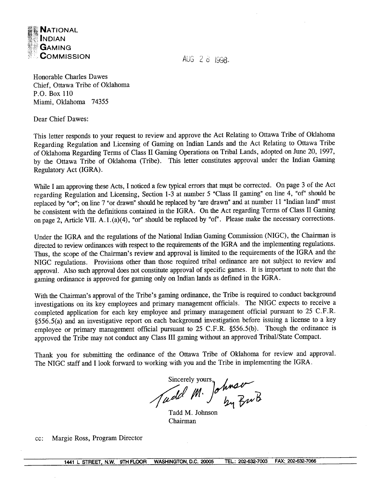

AUG 2 8 1998.

Honorable Charles Dawes Chief, Ottawa Tribe of Oklahoma **P.O.** Box 110 Miami, Oklahoma 74355

Dear Chief Dawes:

This letter responds to your request to review and approve the Act Relating to Ottawa Tribe of Oklahoma Regarding Regulation and Licensing of Gaming on Indian Lands and the Act Relating to Ottawa Tribe of Oklahoma Regarding Terms of Class I1 Gaming Operations on Tribal Lands, adopted on June 20, 1997, by the Ottawa Tribe of Oklahoma (Tribe). This letter constitutes approval under the Indian Gaming Regulatory Act (IGRA).

While I am approving these Acts, I noticed a few typical errors that must be corrected. On page **3** of the Act regarding Regulation and Licensing, Section 1-3 at number 5 "Class I1 gaming" on line 4, "of' should be replaced by "or"; on line 7 "or drawn" should be replaced by "are drawn" and at number 11 "Indian land" must be consistent with the definitions contained in the IGRA. On the Act regarding Terms of Class I1 Gaming on page 2, Article VII. A. 1. (a)(4), 'or" should be replaced by "of". Please make the necessary corrections.

Under the IGRA and the regulations of the National Indian Gaming Commission (NIGC), the Chairman is directed to review ordinances with respect to the requirements of the IGRA and the implementing regulations. Thus, the scope of the Chairman's review and approval is limited to the requirements of the IGRA and the NIGC regulations. Provisions other than those required tribal ordinance are not subject to review and approval. Also such approval does not constitute approval of specific games. It is important to note that the gaming ordinance is approved for gaming only on Indian lands as defined in the IGRA.

With the Chairman's approval of the Tribe's gaming ordinance, the Tribe is required to conduct background investigations on its key employees and primary management officials. The NIGC expects to receive a completed application for each key employee and primary management official pursuant to 25 C.F.R. \$556.5(a) and an investigative report on each background investigation before issuing a license to a key employee or primary management official pursuant to 25 C.F.R. §556.5(b). Though the ordinance is approved the Tribe may not conduct any Class III gaming without an approved Tribal/State Compact.

Thank you for submitting the ordinance of the Ottawa Tribe of Oklahoma for review and approval. The NIGC staff and I look forward to working with you and the Tribe in implementing the IGRA.

Sincerely yours, Johnson

Tadd M. Johnson Chairman

cc: Margie Ross, Program Director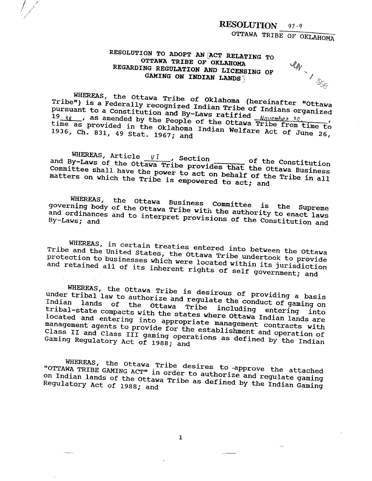OTTAWA TRIBE OF OKLAHOMA

**UN - 1 1955** 

# RESOLUTION TO ADOPT AN ACT RELATING TO OTTAWA TRIBE OF OKLAHOMA REGARDING REGULATION AND LICENSING OF GAMING ON INDIAN LANDS

WHEREAS, the Ottawa Tribe of Oklahoma (hereinafter "Ottawa Tribe") is a Federally recognized Indian Tribe of Indians organized pursuant to a Constitution and By-Laws ratified Nguember 30. 19 38 and a same of the Ottawa Tribe from time to time as provided in the Oklahoma Indian Welfare Act of June 26, 1936, Ch. 831, 49 Stat. 1967; and

WHEREAS, Article  $vI$ , Section of the Constitution and By-Laws of the Ottawa Tribe provides that the Ottawa Business Committee shall have the power to act on behalf of the Tribe in all matters on which the Tribe is empowered to act; and

WHEREAS, the Ottawa Business Committee is the Supreme governing body of the Ottawa Tribe with the authority to enact laws and ordinances and to interpret provisions of the Constitution and

WHEREAS, in certain treaties entered into between the Ottawa Tribe and the United States, the Ottawa Tribe undertook to provide protection to businesses which were located within its jurisdiction and retained all of its inherent rights of self government; and

WHEREAS, the Ottawa Tribe is desirous of providing a basis under tribal law to authorize and regulate the conduct of gaming on Indian lands of the Ottawa Tribe including entering into tribal-state compacts with the states where Ottawa Indian lands are located and entering into appropriate management contracts with management agents to provide for the establishment and operation of Class II and Class III gaming operations as defined by the Indian Gaming Regulatory Act of 1988; and

WHEREAS, the Ottawa Tribe desires to approve the attached "OTTAWA TRIBE GAMING ACT" in order to authorize and regulate gaming on Indian lands of the Ottawa Tribe as defined by the Indian Gaming Regulatory Act of 1988; and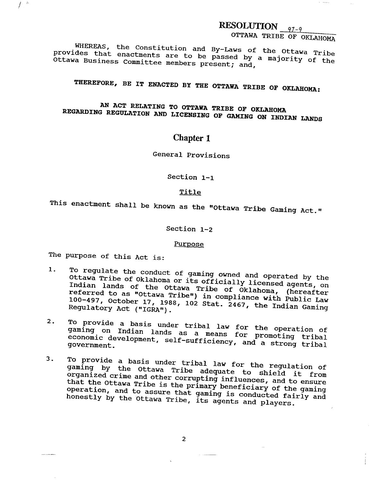OTTAWA TRIBE OF OKLAHOMA

 $\mathbf{v} = \mathbf{v} \cdot \mathbf{v}$ 

**WHEREAS,** the constitution and By-Laws of the Ottawa Tribe provides that enactments are to be passed by a majority of the Ottawa Business Committee members present; and.

**THBREFORE, BE IT ENACTED BY THE OTTAWA TRIBE OF OKLAHOMA:** 

AN ACT RELATING TO OTTAWA TRIBE OF OKLAHOMA **REGARDING REGULATION AND LICENSING OF GAMING ON INDIAN LAND8** 

# **Chapter 1**

General Provisions

section 1-1

# Title

This enactment shall be known as the "Ottawa Tribe Gaming Act."

Section 1-2

# Purpose

The purpose of this Act is:

f.

- **1.** To regulate the conduct of gaming owned and operated by the Ottawa Tribe of Oklahoma or its officially licensed agents, on Indian lands of the Ottawa Tribe of Oklahoma, (hereafter  $\frac{1}{2}$ referred to as "Ottawa Tribe") in compliance with Public Law 100-497. October 17, 1988, 102 Stat. 2467, the Indian ~aming Regulatory Act **("IGRAm)** .
- . To provide a basis under tribal law for the enangtial of a yaming on Indian lands as a means for promoting twiled economic development, self-sufficiency, and a strong tribal government.
- **3.** To provide a basis under tribal law for the regulation of gaming by the Ottawa Tribe adequate to shield it from organized crime and other corrupting influences. and to ensure that the Ottawa Tribe is the primary beneficiary of the gaming operation, and to assure that gaming is conducted fairly and honestly by the Ottawa Tribe, its agents and players.

 $\overline{2}$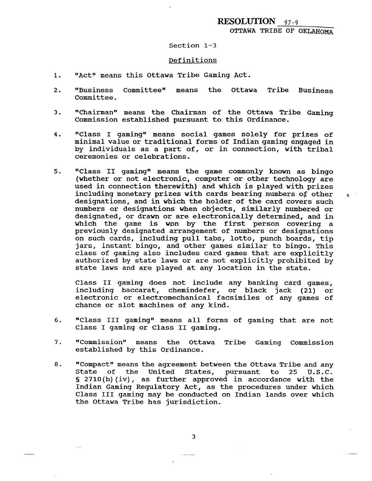# OTTAWA TRIBE OF OKLAHOMA

### Section 1-3

### Definitions

- "Act" means this Ottawa Tribe Gaming Act.  $1.$
- "Business committeew means the Ottawa Tribe Business  $2.$ Committee.
- $3.$ "Chairman" means the Chairman of the Ottawa Tribe Gaming Commission established pursuant to this ordinance.
- $4.$ "Class I gamingw means social games solely for prizes of minimal value or traditional forms of Indian gaming engaged in by individuals as a part of, or in connection, with tribal ceremonies or celebrations.
- "Class II gaming" means the game commonly known as bingo  $5.$ (whether or not electronic, computer or other technology are used in connection therewith) and which is played with prizes including monetary prizes with cards bearing numbers of other **<sup>c</sup>** designations, and in which the holder of the card covers such numbers or designations when objects, similarly numbered or designated, or drawn or are electronically determined, and in which the game is won by the first person covering a previously designated arrangement of numbers or designations on such cards, including pull tabs, lotto, punch boards, tip jars, instant bingo, and 'other games similar to bingo. This class of gaming also includes card games that are explicitly authorized by state laws or are not explicitly prohibited by state laws and are played at any location in the state.

Class I1 gaming does not include any banking card games, including baccarat, chemindefer, or black jack (21) or electronic ox electromechanical facsimiles of any games of chance or slot machines of any kind.

- "Class III gaming" means all forms of gaming that are not  $6.$ Class I gaming or Class I1 gaming.
- 7. "Commission" means the Ottawa Tribe Gaming Commission established by this Ordinance.
- 8. "Compact" means the agreement between the Ottawa Tribe and any State of the United States, pursuant to 25 U.S.C. **<sup>S</sup>**2710(b)(iv), as further approved in accordance with the Indian Gaming Regulatory Act, as the procedures under which Class I11 gaming may be conducted on Indian lands over which the Ottawa Tribe has jurisdiction.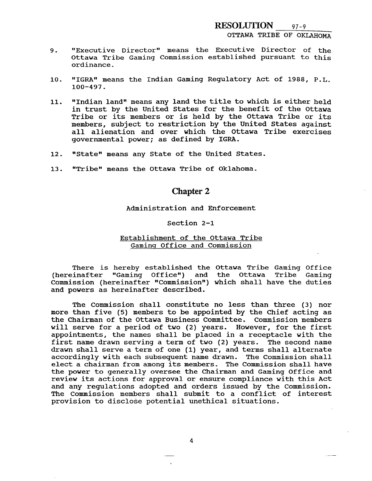- 9. "Executive Director" means the Executive Director of the Ottawa Tribe Gaming Commission established pursuant to this ordinance.
- 10. "IGRA" means the Indian Gaming Regulatory Act of 1988, P.L. 100-497.
- 11. **"Indian land" means any land the title to which is either held** in trust by the United States for the benefit of the Ottawa Tribe or its members or is held by the Ottawa Tribe or its members, subject to restriction by the United States against all alienation and over which the Ottawa Tribe exercises governmental power; as defined by IGRA.
- 12. "State" means any State of the United States.
- 13. "Tribe" means the Ottawa Tribe of Oklahoma.

# **Chapter 2**

### Administration and Enforcement

### Section 2-1

### Establishment of the Ottawa Tribe Gaminq Office and Commission

There is hereby established the Ottawa Tribe Gaming Office (hereinafter "Gaming Office") and the Ottawa Tribe Gaming Commission (hereinafter "Commission") which shall have the duties and powers as hereinafter described.

The Commission shall constitute no less than three (3) nor more than five **(5)** members to be appointed by the Chief acting as the Chairman of the Ottawa Business Committee. Commission members will serve for a period of two (2) years. However, for the first appointments, the names shall be placed in a receptacle with the first name drawn serving a term of two (2) years. The second name drawn shall serve a term of one (1) year, and terms shall alternate accordingly with each subsequent name drawn. The Commission shall elect a chairman from among its members. The Commission shall have the power to generally oversee the Chairman and Gaming Office and review its actions for approval or ensure compliance with this Act and any regulations adopted and orders issued by the Commission. The Commission members shall submit to a conflict of interest provision to disclose potential unethical situations.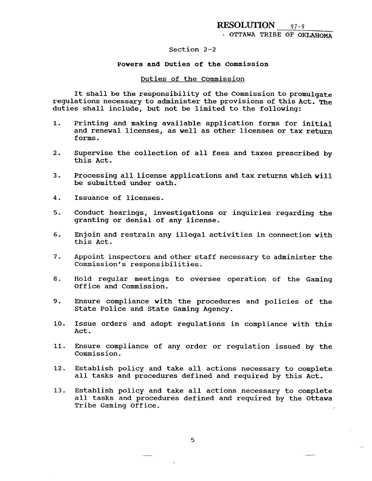# **I** OTTAWA TRIBE OF OKLAHOMA

### section 2-2

# Powers and Duties of the commission

### Duties of the Commission

It shall be the responsibility of the commission to promulgate regulations necessary to administer the provisions of this Act. The duties shall include, but not be limited to the following:

- **1.** Printing and making available application forms for initial and renewal licenses, as well as other licenses or tax return **f** oms.
- **2.** Supervise the collection of all fees and taxes prescribed by this Act.
- **3.** Processing all license applications and tax returns which will be submitted under oath.
- **4.** Issuance of licenses.
- **5.** Conduct hearings, investigations or inquiries regarding the granting or denial of any license.
- **6.** Enjoin and restrain any illegal activities in connection with this Act.
- **7.** Appoint inspectors and other staff necessary to administer the Commission's responsibilities.
- 8. Hold regular meetings to oversee operation of the Gaming Office and Commission.
- 9. Ensure compliance with the procedures and policies of the State Police and State Gaming Agency.
- 10. Issue orders and adopt regulations in compliance with this Act.
- 11. Ensure compliance of any order or regulation issued by the Commission.
- 12. Establish policy and take all actions necessary to complete all tasks and procedures defined and required by this Act.
- 13. Establish policy and take all actions necessary to complete all tasks and procedures defined and required by the Ottawa Tribe Gaming Office.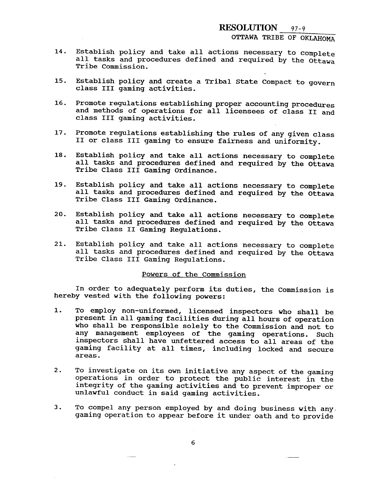OTTAWA TRIBE OF OKLAHOMA

- **14.** Establish policy and take all actions necessary to Complete all tasks and procedures defined and required by the Ottawa Tribe Commission.
- **15.** Establish policy and create a Tribal State Compact to govern class **I11** gaming activities.
- **16.** Promote regulations establishing proper accounting procedures and methods of operations for all licensees of class I1 and class I11 gaming activities.
- **17.** Promote regulations establishing the rules of any given class I1 or class I11 gaming to ensure fairness and uniformity.
- 18. Establish policy and take all actions necessary to complete all tasks and procedures defined and required by the Ottawa Tribe Class I11 Gaming Ordinance,
- 19. Establish policy and take all actions necessary to complete all tasks and procedures defined and required by the Ottawa Tribe Class **I11** Gaming Ordinance.
- **20.** Establish policy and take all actions necessary to complete all tasks and procedures defined and required by the Ottawa Tribe Class **I1** Gaming Regulations.
- 21. Establish policy and take all actions necessary to complete all tasks and procedures defined and required by the Ottawa Tribe Class III Gaming Regulations.

### Powers of the Commission

In order to adequately perform its duties, the Commission is hereby vested with the following powers:

- 1. To employ non-uniformed, licensed inspectors who shall be present in all gaming facilities during all hours of operation who shall be responsible solely to the Commission and not to any management employees of the gaming operations, Such inspectors shall have unfettered access to all areas of the gaming facility at all times, including locked and secure areas.
- **2.** To investigate on its own initiative any aspect of the gaming operations in order to protect the public interest in the integrity of the gaming activities and to prevent improper or unlawful conduct in said gaming activities.
- 3. To compel any person employed by and doing business with any, gaming operation to appear before it under oath and to provide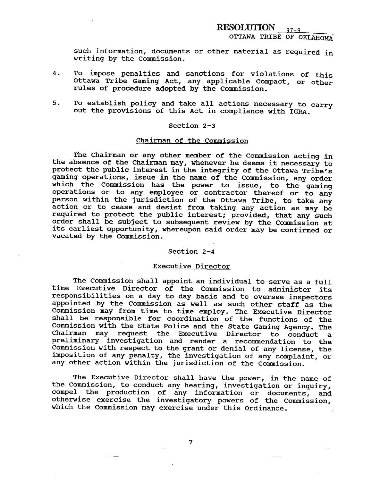such information, documents or other material as required in writing by the commission.

- **4.** To impose penalties and sanctions for violations of this Ottawa Tribe Gaming Act, any applicable Compact, or other rules of procedure adopted by the Commission.
- **5.** To establish policy and take all actions necessary to carry out the provisions of this Act in compliance with IGRA.

### Section 2-3

### Chairman of the Commission

The Chairman or any other member of the Commission acting in the absence of the Chairman may, whenever he deems it necessary to protect the public interest in the integrity of the Ottawa Tribe's gaming operations, issue in the name of the Commission, any order which the Commission has the power to issue, to the gaming operations or to any employee or contractor thereof or to any person within the jurisdiction of the Ottawa Tribe, to take any action or to cease and desist from taking any action as may be required to protect the public interest; provided, that any such order shall be subject to subsequent review by the Commission at its earliest opportunity, whereupon said order may be confirmed or vacated by the Commission.

### Section 2-4

#### Executive Director

The Commission shall appoint an individual to serve as a full time Executive Director of the Commission to administer its responsibilities on a day to day basis and to oversee inspectors appointed by the commission as well as such other staff as the Commission may from time to time employ. The Executive Director shall be responsible for coordination of the functions of the Commission with the State Police and the State Gaming Agency. The Chairman may request the Executive Director to conduct a preliminary investigation and render a recommendation to the Commission with respect to the grant or denial of any license, the imposition of any penalty, the investigation of any complaint, or any other action within the jurisdiction of the Commission.

The Executive Director shall have the power, in the name of the Commission, to conduct any hearing, investigation or inquiry, compel the production of any information or documents, and otherwise exercise the investigatory powers of the Commission, which the Commission may exercise under this Ordinance.

 $\overline{7}$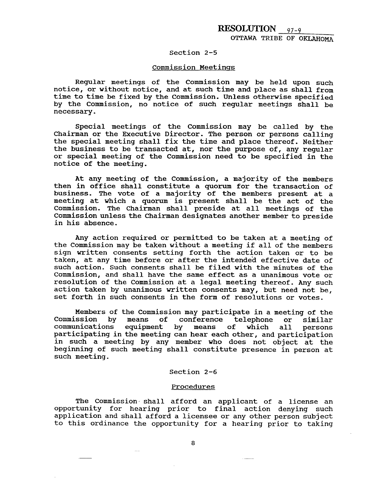### Section 2-5

### Commission Meetinas

Regular meetings of the commission may be held upon such notice, or without notice, and at such time and place as shall from time to time be fixed by the Commission. Unless otherwise specified by the Commission, no notice of such regular meetings shall be necessary.

Special meetings of the Commission may be called by the chairman or the Executive Director. The person or persons calling the special meeting shall fix the time and place thereof. Neither the business to be transacted at, nor the purpose of, any regular or special meeting of the commission need to be specified in the notice of the meeting.

At any meeting of the Commission, a majority of the members then in office shall constitute a quorum for the transaction of business. The vote of a majority of the members present at a meeting at which a quorum is present shall be the act of the commission. The chairman shall preside at all meetings of the commission unless the chairman designates another member to preside in his absence.

Any action required or permitted to be taken at a meeting of the Commission may be taken without a meeting if all of the members sign written consents setting forth the action taken or to be taken, at any time before or after the intended effective date of such action. Such consents shall be filed with the minutes of the Commission, and shall have the same effect as a unanimous vote or resolution of the Commission at a legal meeting thereof. Any such action taken by unanimous written consents may, but need not be, set forth in such consents in the form of resolutions or votes.

Members of the Commission may participate in a meeting of the<br>Commission by means of conference telephone or similar means of conference telephone or similar<br>equipment by means of which all persons communications equipment by means of which all persons participating in the meeting can hear each other, and participation in such a meeting by any member who does not object at the beginning of such meeting shall constitute presence in person at such meeting.

# Section 2-6

#### Procedures

The Commission shall afford an applicant of a license an opportunity for hearing prior to final action denying such application and shall afford a licensee or any other person subject to this ordinance the opportunity for a hearing prior to taking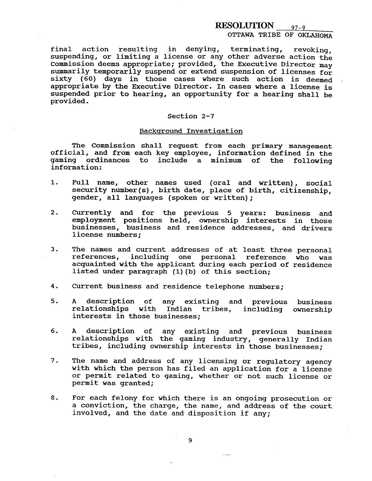# OTTAWA TRIBE OF OKLAHOMA

final action resulting in denying, terminating, revoking, suspending, or limiting a license or any other adverse action the commission deems appropriate; provided, the Executive Director may summarily temporarily suspend or extend suspension of licenses for sixty (60) days in those cases where such action is deemed appropriate by the Executive Director. In cases where a license is suspended prior to hearing, an opportunity for a hearing shall be provided.

### Section 2-7

### Background Investigation

The Commission shall request from each primary management official, and from each key employee, information defined in the gaming ordinances to include a minimum of the following information:

- 1. Full name, other names used (oral and written), social security number(s), birth date, place of birth, citizenship, gender, all languages (spoken or written);
- 2. Currently and for the previous **5** years: business and employment positions held, ownership interests in those businesses, business and residence addresses, and drivers license numbers;
- 3. The names and current addresses of at least three personal references, including one personal reference who was acquainted with the applicant during each period of residence listed under paragraph (l)(b) of this section;
- **4.** Current business and residence telephone numbers;
- **5. A** description of any existing and previous business relationships with Indian tribes, including ownership interests in those businesses;
- 6. A description of any existing and previous business relationships with the gaming industry, generally Indian tribes, including ownership interests in those businesses;
- 7. The name and address of any licensing or regulatory agency with which the person has filed an application for a license or permit related to gaming, whether or not such license or permit was granted;
- **8.** For each felony for which there is an ongoing prosecution or a conviction, the charge, the name, and address of the court, involved, and the date and disposition if any;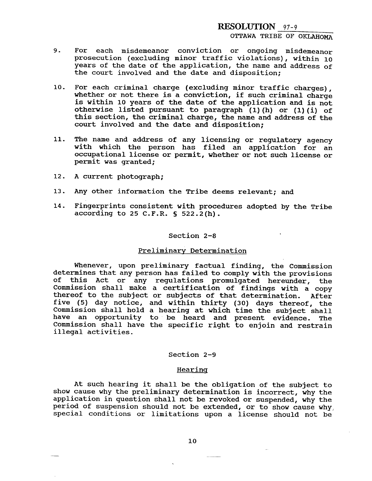# OTTAWA TRIBE OF OKLAHOMA

- 9. For each misdemeanor conviction or ongoing misdemeanor prosecution (excluding minor traffic violations), within **10**  years of the date of the application, the name and address of the court involved and the date and disposition;
- **10.** For each criminal charge (excluding minor traffic charges) , whether or not there is a conviction, if such criminal charge is within **10** years of the date of the application and is not otherwise listed pursuant to paragraph (1) (h) or (1) (i) of this section, the criminal charge, the name and address of the court involved and the date and disposition;
- **11.** The name and address of any licensing or regulatory agency with which the person has filed an application for an occupational license or permit, whether or not such license or permit was granted;
- **12.** A current photograph;
- 13. Any other information the Tribe deems relevant; and
- **14.** Fingerprints consistent with procedures adopted by the Tribe according to 25 C.F.R. **S** 522.2(h).

### Section 2-8

# Preliminary Determination

Whenever, upon preliminary factual finding, the Commission determines that any person has failed to comply with the provisions of this Act or any regulations promulgated hereunder, the Commission shall make a certification of findings with a copy thereof to the subject or subjects of that determination. After five **(5)** day notice, and within thirty (30) days thereof, the Commission shall hold a hearing at which time the subject shall have an opportunity to be heard and present evidence. The Commission shall have the specific right to enjoin and restrain illegal activities.

### Section 2-9

# **Hearing**

At such hearing it shall be the obligation of the subject to show cause why the preliminary determination is incorrect, why the application in question shall not be revoked or suspended, why the period of suspension should not be extended, or to show cause why, special conditions or limitations upon a license should not be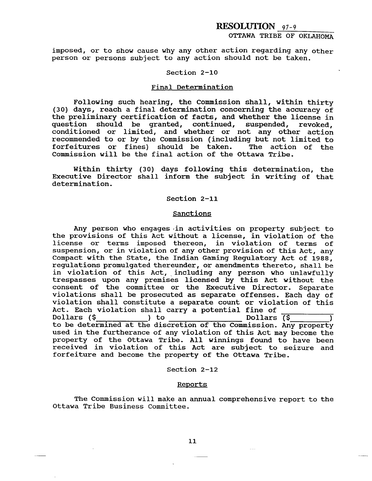# OTTAWA TRIBE OF OKLAHOMA

imposed, or to show cause why any other action regarding any other person or persons subject to any action should not be taken.

### Section 2-10

### Final Determination

Following such hearing, the Commission shall, within thirty (30) days, reach a final determination concerning the accuracy of the preliminary certification of facts, and whether the license in question should be granted, continued, suspended, revoked, conditioned or limited, and whether or not any other action recommended to or by the Commission (including but not limited to forfeitures or fines) should be taken. Commission will be the final action of the Ottawa Tribe.

Within thirty (30) days following this determination, the Executive Director shall inform the subject in writing of that determination.

### Section 2-11

### **Sanctions**

Any person who engages in activities on property subject to the provisions of this Act without a license, in violation of the license or terms imposed thereon, in violation of terms of suspension, or in violation of any other provision of this Act, any Compact with the State, the Indian Gaming Regulatory Act of 1988, regulations promulgated thereunder, or amendments thereto, shall be in violation of this Act, including any person who unlawfully trespasses upon any premises licensed by this Act without the consent of the committee or the Executive Director. Separate violations shall be prosecuted as separate offenses. Each day of violation shall constitute a separate count or violation of this Act. Each violation shall carry a potential fine of Dollars (\$ **)** to Dollars (\$ 1 to be determined at the discretion of the Commission. Any property used in the furtherance of any violation of this Act may become the property of the Ottawa Tribe. All winnings found to have been received in violation of this Act are subject to seizure and forfeiture and become the property of the Ottawa Tribe.

### Section 2-12

### Reports

The Commission will make an annual comprehensive report to the Ottawa Tribe Business Committee.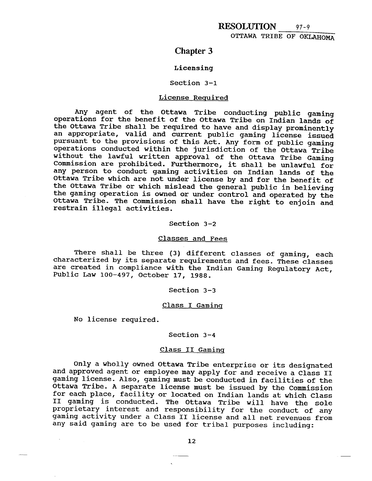# **Chapter 3**

### Licensing

### Section 3-1

### License Required

Any agent of the Ottawa Tribe conducting public gaming operations for the benefit of the Ottawa Tribe on Indian lands of the Ottawa Tribe shall be required to have and display prominently an appropriate, valid and current public gaming license issued pursuant to the provisions of this Act. Any form of public gaming operations conducted within the jurisdiction of the Ottawa Tribe without the lawful written approval of the Ottawa Tribe Gaming Commission are prohibited. Furthermore, it shall be unlawful for any person to conduct gaming activities on Indian lands of the Ottawa Tribe which are not under license by and for the benefit of the Ottawa Tribe or which mislead the general public in believing the gaming operation is owned or under control and operated by the Ottawa Tribe. The commission shall have the right to enjoin and restrain illegal activities.

### Section 3-2

### Classes and Fees

There shall be three (3) different classes of gaming, each characterized by its separate requirements and fees. These classes are created in compliance with the Indian Gaming Regulatory Act, Public Law 100-497, October 17, 1988.

### Section 3-3

### Class I Gaminq

No license required.

### Section 3-4

### Class I1 Gaminq

Only a wholly owned Ottawa Tribe enterprisce or its designated and approved agent or employee may apply for and receive a Class II gaming license. Also, gaming must be conducted in facilities of the Ottawa Tribe. **A** separate license must be issued by the Commission for each place, facility or located on Indian lands at which Class **I1** gaming is conducted. The Ottawa Tribe will have the sole proprietary interest and responsibility for the conduct of any gaming activity under a Class **I1** license and all net revenues from any said gaming are to be used for tribal purposes including: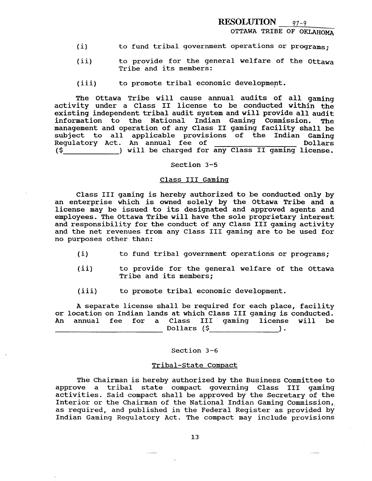OTTAWA TRIBE OF OKLAHOMA

- (i) to fund tribal government operations or programs;
- (ii) to provide for the general welfare of the Ottawa Tribe and its members:
- (iii) to promote tribal economic development.

The Ottawa Tribe will cause annual audits of all gaming activity under a Class **I1** license to be conducted within the existing independent tribal audit system and will provide all audit information to the National Indian Gaming Commission. The management and operation of any Class **I1** gaming facility shall be subject to all applicable provisions of the Indian Gaming Regulatory Act. An annual fee of **Dollars** (\$ ) will be charged for any Class I1 gaming license.

Section 3-5

#### Class I11 Gaminq

Class I11 gaming is hereby authorized to be conducted only by an enterprise which is owned solely by the Ottawa Tribe and a license may be issued to its designated and approved agents and employees, The Ottawa Tribe will have the sole proprietary interest and responsibility for the conduct of any Class I11 gaming activity and the net revenues from any Class I11 gaming are to be used for no purposes other than:

- **(i)** to fund tribal government operations or programs;
- (ii) to provide for the general welfare of the Ottawa Tribe and its members;
- (iii) to promote tribal economic development.

A separate license shall be required for each place, facility or location on Indian lands at which Class I11 gaming is conducted. An annual fee for a Class I11 gaming license will be Dollars (\$ **)** 

### Section 3-6

### Tribal-State Compact

The Chairman is hereby authorized by the Business Committee to approve a tribal state compact governing Class 111 gaming activities. Said compact shall be approved by the Secretary of the Interior or the Chairman of the National Indian Gaming Commission, as required, and published in the Federal Register as provided by Indian Gaming Regulatory Act. The compact may include provisions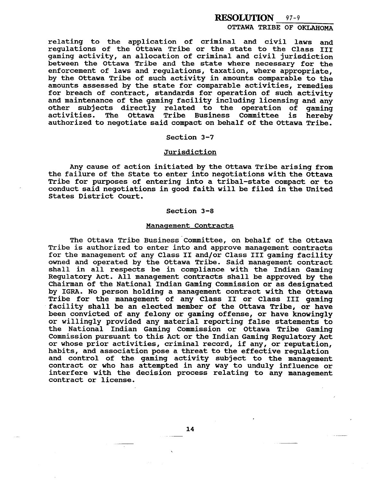**OTTAWA TRIBE OF OKLAHOMA** 

**relating to the application of criminal and civil laws and regulations of the Ottawa Tribe or the state to the Class 111 gaming activity, an allocation of criminal and civil jurisdiction between the Ottawa Tribe and the state where necessary for the enforcement of laws and regulations, taxation, where appropriate,**  by the Ottawa Tribe of such activity in amounts comparable to the **amounts assessed by the state for comparable activities, remedies for breach of contract, standards for operation of such activity and maintenance of the gaming facility including licensing and any other subjects directly related to the operation of gaming**  Tribe Business Committee is hereby authorized to negotiate said compact on behalf of the Ottawa Tribe.

# **Section 3-7**

### **Jurisdiction**

**Any cause of action initiated by the Ottawa Tribe arising from the failure of the State to enter into negotiations with the Ottawa Tribe for purposes of entering into a tribal-state compact or to conduct said negotiations in good faith will be filed in the United States District Court.** 

### **Section 3-8**

#### **Manaaement Contracts**

The Ottawa Tribe Business Committee, on behalf of the Ottawa **Tribe is authorized to enter into and approve management contracts for the management of any Class I1 and/or Class I11 gaming facility owned and operated by the Ottawa Tribe. Said management contract shall in all respects be in compliance with the Indian Gaming Regulatory Act. All management contracts shall be approved by the Chairman of the National Indian Gaming Commission or as designated by IGRA. No person holding a management contract with the Ottawa Tribe for the management of any Class 11 or Class I11 gaming**  facility shall be an elected member of the Ottawa Tribe, or have **been convicted of any felony or gaming offense, or have knowingly or willingly provided any material reporting false statements to the National Indian Gaming Commission or Ottawa Tribe Gaming Commission pursuant to this Act or the Indian Gaming Regulatory Act or whose prior activities, criminal record, if any, or reputation, habits, and association pose a threat to the effective regulation and control of the gaming activity subject to the management contract or who has attempted in any way to unduly influence or interfere with the decision process relating to any management contract or license.**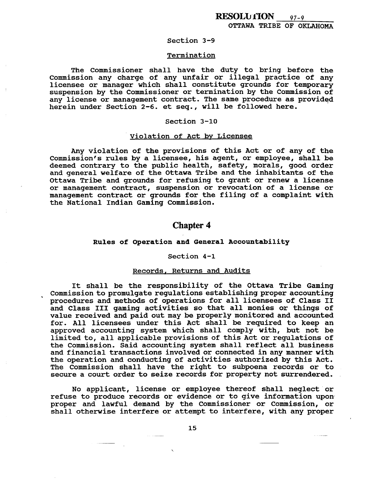### **Section 3-9**

# Termination

**The Commissioner shall have the duty to bring before the Commission any charge of any unfair or illegal practice of any licensee or manager which shall constitute grounds for temporary suspension by the Commissioner or termination by the Commission of any license or management contract. The same procedure as provided**  herein under Section 2-6. et seq., will be followed here.

### **Section 3-10**

# **Violation of Act bv Licensee**

**Any violation of the provisions of this Act or of any of the**  Commission's rules by a licensee, his agent, or employee, shall be **deemed contrary to the public health, safety, morals, good order and general welfare of the Ottawa Tribe and the inhabitants of the Ottawa Tribe and grounds for refusing to grant or renew a license or management contract, suspension or revocation of a license or management contract or grounds for the filing of a complaint with the National Indian Gaming Commission.** 

# **Chapter 4**

### **Rules of Operation and General Accountability**

#### **Section 4-1**

### **Records, Returns and Audits**

**It shall be the responsibility of the Ottawa Tribe Gaming Commission to promulgate regulations establishing proper accounting procedures and methods of operations for all licensees of Class I1 and Class I11 gaming activities so that all monies or things of value received and paid out may be properly monitored and accounted for. All licensees under this Act shall be required to keep an approved accounting system which shall comply with, but not be limited to, all applicable provisions of this Act or regulations of the Commission. Said accounting system shall reflect all business and financial transactions involved or connected in any manner with the operation and conducting of activities authorized by this Act. The Commission shall have the right to subpoena records or to secure a court order to seize records for property not surrendered.** 

**No applicant, license or employee thereof shall neglect** ' **or refuse to produce records or evidence or to give information upon proper and lawful demand by the Commissioner or Commission, or shall otherwise interfere or attempt to interfere, with any proper**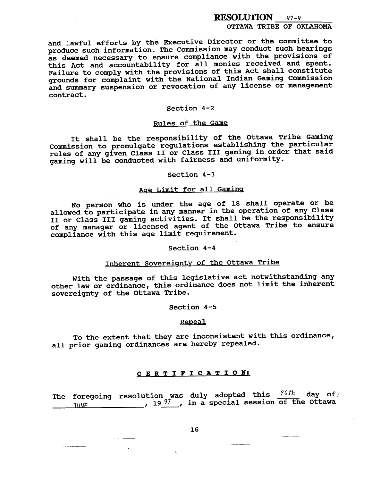OTTAWA TRIBE OF OKLAHOMA

**and lawful efforts by the Executive Director or the committee to produce such information. The Commission may conduct such hearings as deemed necessary to ensure compliance with the provisions of this Act and accountability for all monies received and spent. Failure to comply with the provisions of this Act shall constitute grounds for complaint with the National Indian Gaming Commission and summary suspension or revocation of any license or management contract.** 

# **Section 4-2**

# **Rules of the Game**

**It shall be the responsibility of the Ottawa Tribe Gaming Commission to promulgate regulations establishing the particular rules of any given Class I1 or Class I11 gaming in order that said gaming will be conducted with fairness and uniformity.** 

### **Section 4-3**

# **Acre Limit for all Gaminq**

**No person who is under the age of 18 shall operate or be allowed to participate in any manner in the operation of any Class I1 or Class 111 gaming activities. It shall be the responsibility of any manager or licensed agent of the Ottawa Tribe to ensure**  compliance with this age limit requirement.

# Section 4-4

# Inherent Sovereignty of the Ottawa Tribe

**With the passage of this legislative act notwithstanding any other law or ordinance, this ordinance does not limit the inherent sovereignty of the Ottawa Tribe.** 

### **Section 4-5**

#### **Repeal**

**To the extent that they are inconsistent with this ordinance, all prior gaming ordinances are hereby repealeld.** 

# **CERTIFICATION:**

**The foregoing duly adopted this** 20th **day of, 11** IMF **in a special session of the Ottawa**